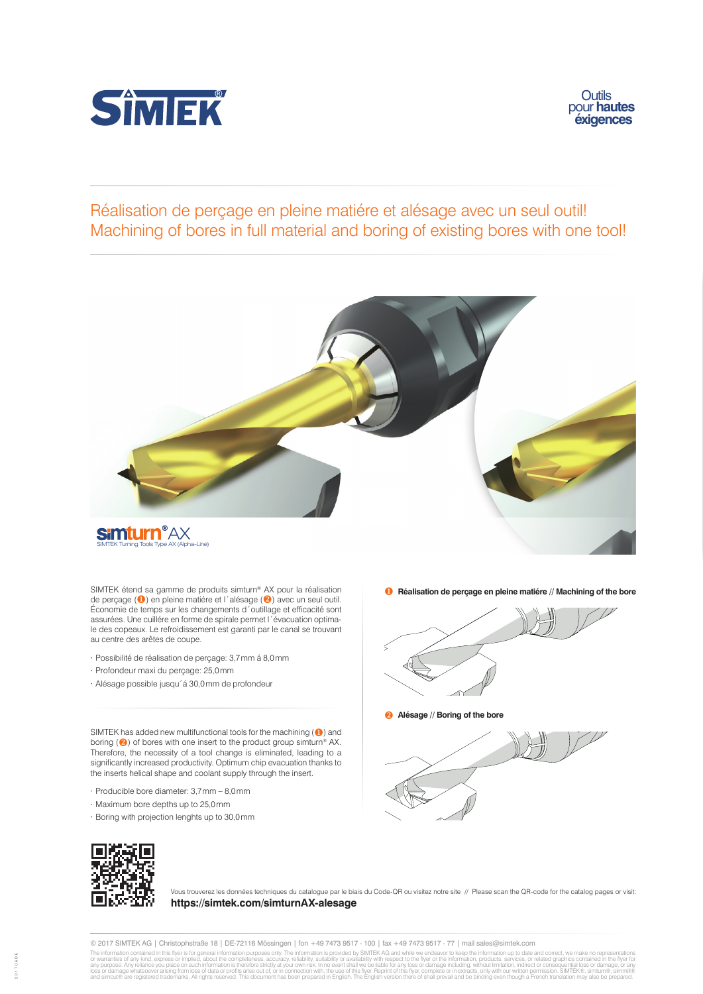



## Réalisation de perçage en pleine matiére et alésage avec un seul outil! Machining of bores in full material and boring of existing bores with one tool!



SIMTEK étend sa gamme de produits simturn<sup>®</sup> AX pour la réalisation **complete de Réalisation de perçage en pleine matiére // Machining of the bore** de perçage (<sup>0</sup>) en pleine matiére et l'alésage (<sup>2</sup>) avec un seul outil. Économie de temps sur les changements d´outillage et efficacité sont assurées. Une cuillére en forme de spirale permet l´évacuation optimale des copeaux. Le refroidissement est garanti par le canal se trouvant au centre des arêtes de coupe.

- ∙ Possibilité de réalisation de perçage: 3,7mm á 8,0mm
- ∙ Profondeur maxi du perçage: 25,0mm
- ∙ Alésage possible jusqu´á 30,0mm de profondeur

SIMTEK has added new multifunctional tools for the machining  $($ <sup>0</sup> $)$  and boring (2) of bores with one insert to the product group similarm® AX. Therefore, the necessity of a tool change is eliminated, leading to a significantly increased productivity. Optimum chip evacuation thanks to the inserts helical shape and coolant supply through the insert.

- ∙ Producible bore diameter: 3,7mm 8,0mm
- ∙ Maximum bore depths up to 25,0mm
- ∙ Boring with projection lenghts up to 30,0mm



Vous trouverez les données techniques du catalogue par le biais du Code-QR ou visitez notre site // Please scan the QR-code for the catalog pages or visit: **https://simtek.com/simturnAX-alesage**

© 2017 SIMTEK AG | Christophstraße 18 | DE-72116 Mössingen | fon +49 7473 9517 - 100 | fax +49 7473 9517 - 77 | mail sales@simtek.com

The information contained in this flyer is for general information purposes only. The information is provided by SIMTEK AG and while we endeavor to keep the information, products, services, or related graphics contained in



 **Alésage // Boring of the bore**